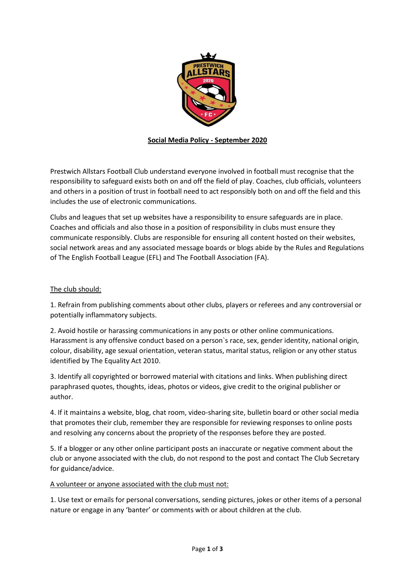

# **Social Media Policy - September 2020**

Prestwich Allstars Football Club understand everyone involved in football must recognise that the responsibility to safeguard exists both on and off the field of play. Coaches, club officials, volunteers and others in a position of trust in football need to act responsibly both on and off the field and this includes the use of electronic communications.

Clubs and leagues that set up websites have a responsibility to ensure safeguards are in place. Coaches and officials and also those in a position of responsibility in clubs must ensure they communicate responsibly. Clubs are responsible for ensuring all content hosted on their websites, social network areas and any associated message boards or blogs abide by the Rules and Regulations of The English Football League (EFL) and The Football Association (FA).

## The club should:

1. Refrain from publishing comments about other clubs, players or referees and any controversial or potentially inflammatory subjects.

2. Avoid hostile or harassing communications in any posts or other online communications. Harassment is any offensive conduct based on a person`s race, sex, gender identity, national origin, colour, disability, age sexual orientation, veteran status, marital status, religion or any other status identified by The Equality Act 2010.

3. Identify all copyrighted or borrowed material with citations and links. When publishing direct paraphrased quotes, thoughts, ideas, photos or videos, give credit to the original publisher or author.

4. If it maintains a website, blog, chat room, video-sharing site, bulletin board or other social media that promotes their club, remember they are responsible for reviewing responses to online posts and resolving any concerns about the propriety of the responses before they are posted.

5. If a blogger or any other online participant posts an inaccurate or negative comment about the club or anyone associated with the club, do not respond to the post and contact The Club Secretary for guidance/advice.

#### A volunteer or anyone associated with the club must not:

1. Use text or emails for personal conversations, sending pictures, jokes or other items of a personal nature or engage in any 'banter' or comments with or about children at the club.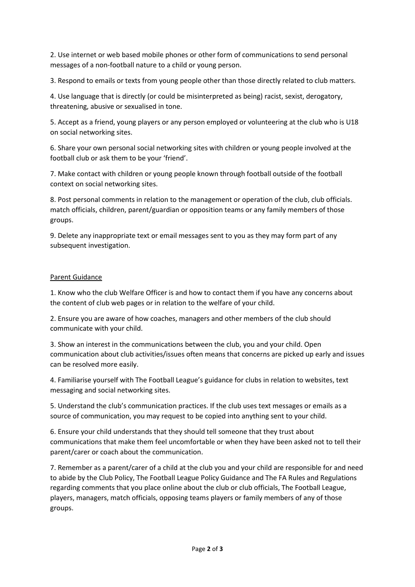2. Use internet or web based mobile phones or other form of communications to send personal messages of a non-football nature to a child or young person.

3. Respond to emails or texts from young people other than those directly related to club matters.

4. Use language that is directly (or could be misinterpreted as being) racist, sexist, derogatory, threatening, abusive or sexualised in tone.

5. Accept as a friend, young players or any person employed or volunteering at the club who is U18 on social networking sites.

6. Share your own personal social networking sites with children or young people involved at the football club or ask them to be your 'friend'.

7. Make contact with children or young people known through football outside of the football context on social networking sites.

8. Post personal comments in relation to the management or operation of the club, club officials. match officials, children, parent/guardian or opposition teams or any family members of those groups.

9. Delete any inappropriate text or email messages sent to you as they may form part of any subsequent investigation.

## Parent Guidance

1. Know who the club Welfare Officer is and how to contact them if you have any concerns about the content of club web pages or in relation to the welfare of your child.

2. Ensure you are aware of how coaches, managers and other members of the club should communicate with your child.

3. Show an interest in the communications between the club, you and your child. Open communication about club activities/issues often means that concerns are picked up early and issues can be resolved more easily.

4. Familiarise yourself with The Football League's guidance for clubs in relation to websites, text messaging and social networking sites.

5. Understand the club's communication practices. If the club uses text messages or emails as a source of communication, you may request to be copied into anything sent to your child.

6. Ensure your child understands that they should tell someone that they trust about communications that make them feel uncomfortable or when they have been asked not to tell their parent/carer or coach about the communication.

7. Remember as a parent/carer of a child at the club you and your child are responsible for and need to abide by the Club Policy, The Football League Policy Guidance and The FA Rules and Regulations regarding comments that you place online about the club or club officials, The Football League, players, managers, match officials, opposing teams players or family members of any of those groups.